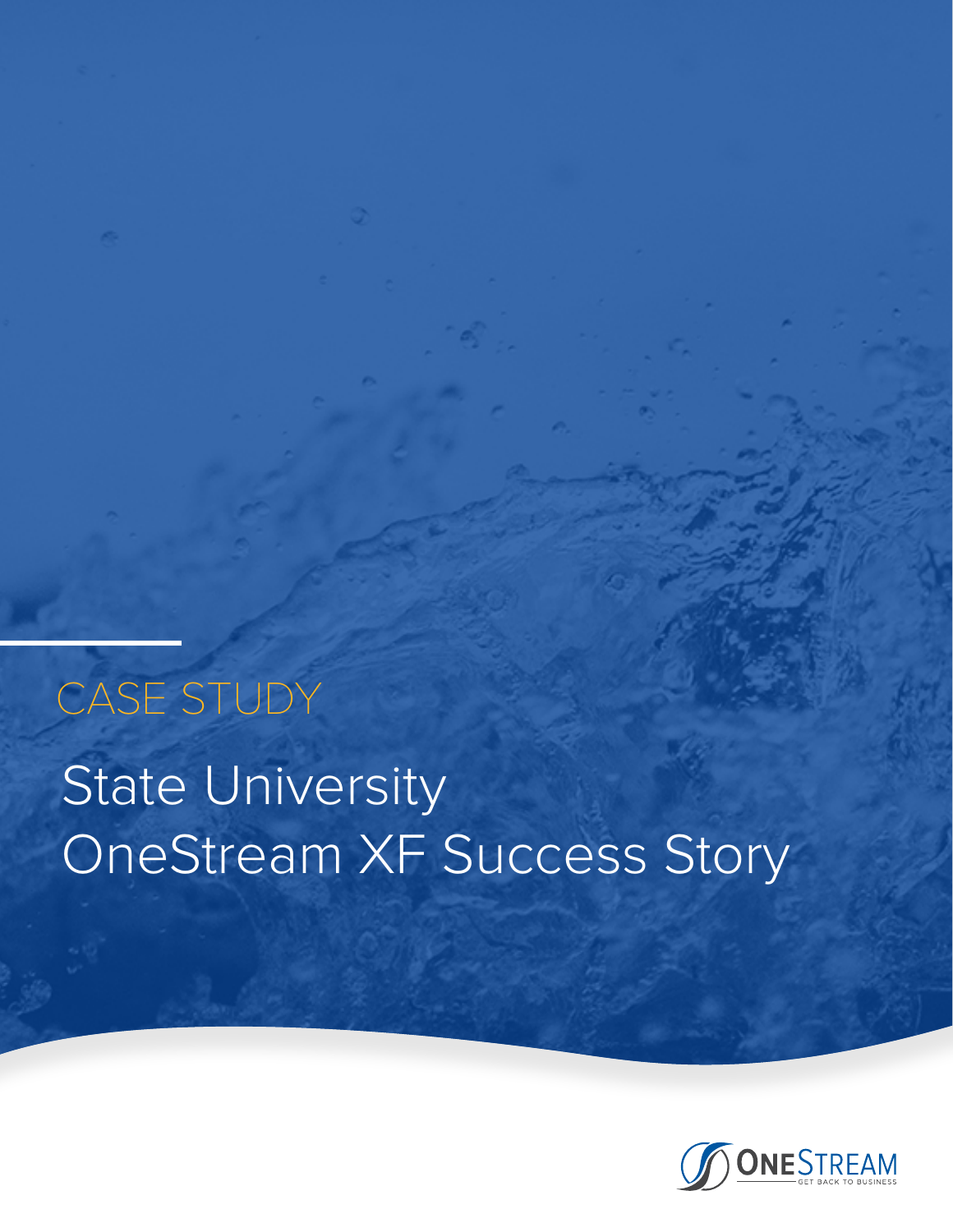# State University OneStream XF Success Story CASE STUDY

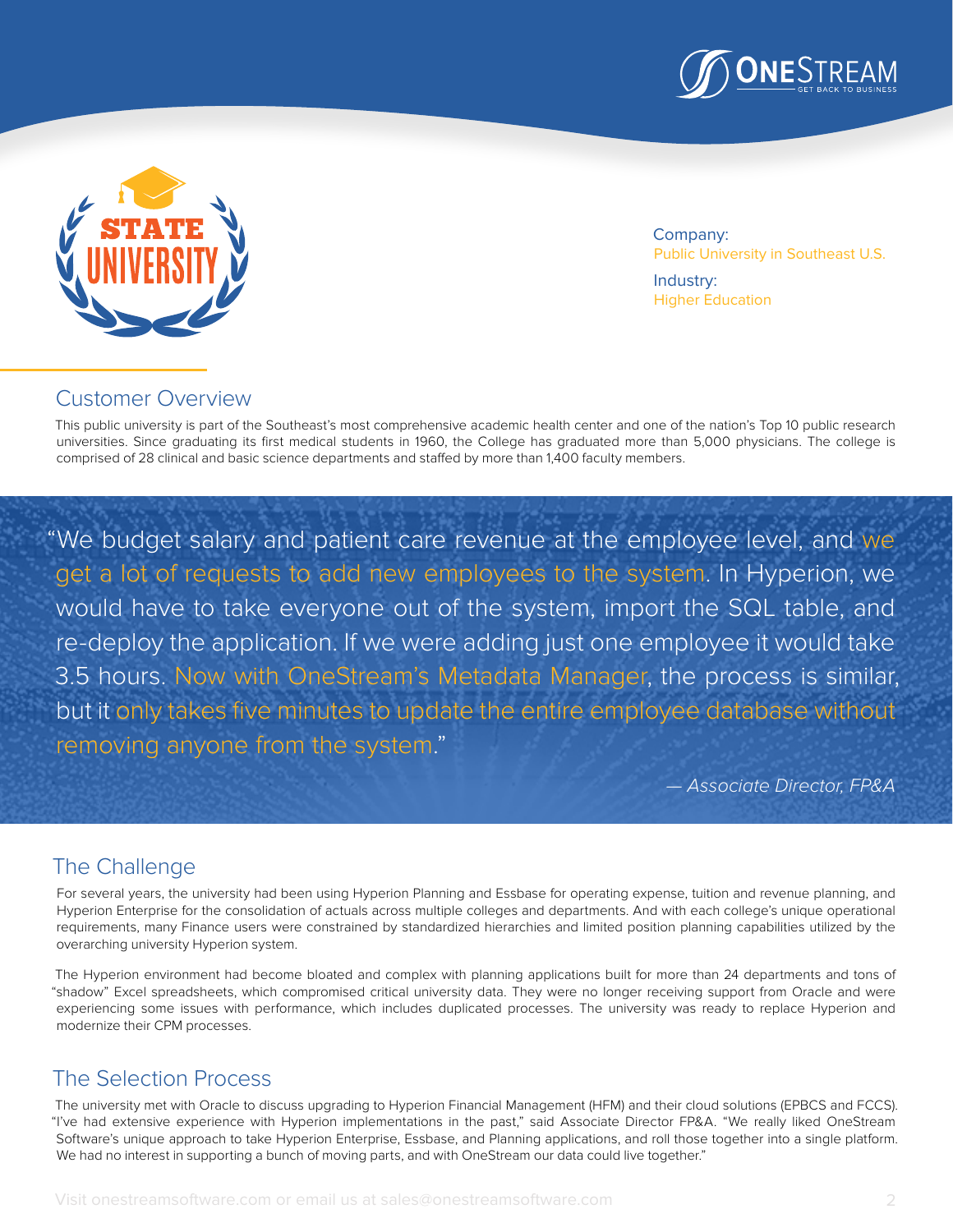



Company: Public University in Southeast U.S.

Industry: Higher Education

## Customer Overview

This public university is part of the Southeast's most comprehensive academic health center and one of the nation's Top 10 public research universities. Since graduating its first medical students in 1960, the College has graduated more than 5,000 physicians. The college is comprised of 28 clinical and basic science departments and staffed by more than 1,400 faculty members.

"We budget salary and patient care revenue at the employee level, and we get a lot of requests to add new employees to the system. In Hyperion, we would have to take everyone out of the system, import the SQL table, and re-deploy the application. If we were adding just one employee it would take 3.5 hours. Now with OneStream's Metadata Manager, the process is similar, but it only takes five minutes to update the entire employee database without removing anyone from the system."

*— Associate Director, FP&A* 

## The Challenge

For several years, the university had been using Hyperion Planning and Essbase for operating expense, tuition and revenue planning, and Hyperion Enterprise for the consolidation of actuals across multiple colleges and departments. And with each college's unique operational requirements, many Finance users were constrained by standardized hierarchies and limited position planning capabilities utilized by the overarching university Hyperion system.

The Hyperion environment had become bloated and complex with planning applications built for more than 24 departments and tons of "shadow" Excel spreadsheets, which compromised critical university data. They were no longer receiving support from Oracle and were experiencing some issues with performance, which includes duplicated processes. The university was ready to replace Hyperion and modernize their CPM processes.

## The Selection Process

The university met with Oracle to discuss upgrading to Hyperion Financial Management (HFM) and their cloud solutions (EPBCS and FCCS). "I've had extensive experience with Hyperion implementations in the past," said Associate Director FP&A. "We really liked OneStream Software's unique approach to take Hyperion Enterprise, Essbase, and Planning applications, and roll those together into a single platform. We had no interest in supporting a bunch of moving parts, and with OneStream our data could live together."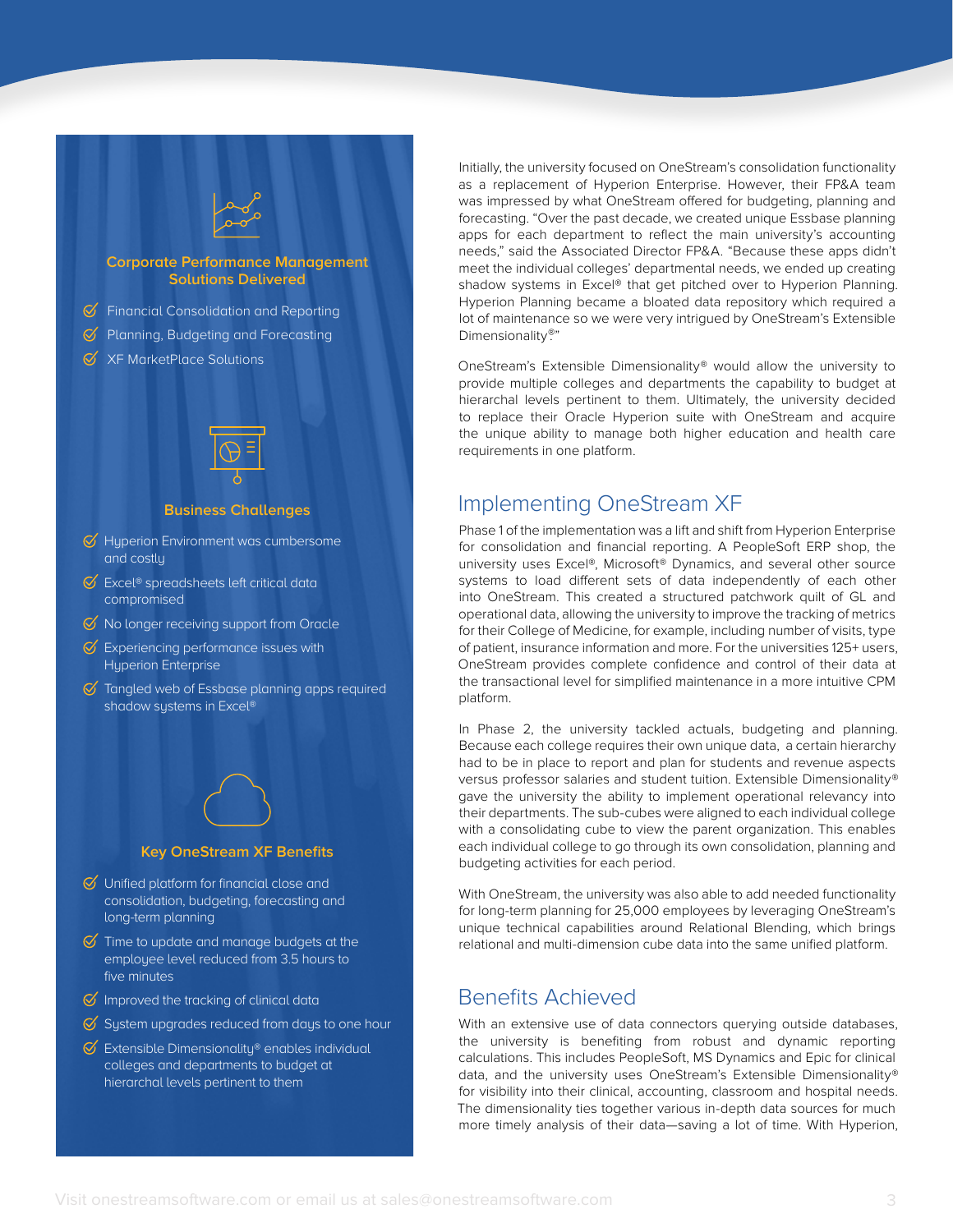#### **Corporate Performance Management Solutions Delivered**

- $\mathcal G$  Financial Consolidation and Reporting
- $\mathcal G$  Planning, Budgeting and Forecasting
- $\mathcal{C}$  XF MarketPlace Solutions



#### **Business Challenges**

- $\mathcal G$  Hyperion Environment was cumbersome and costly
- $\mathcal O$  Excel® spreadsheets left critical data compromised
- $\mathcal G$  No longer receiving support from Oracle
- $\mathcal G$  Experiencing performance issues with Hyperion Enterprise
- $\mathcal G$  Tangled web of Essbase planning apps required shadow systems in Excel®



### **Key OneStream XF Benefits**

- $\bigcirc$  Unified platform for financial close and consolidation, budgeting, forecasting and long-term planning
- $\mathcal G$  Time to update and manage budgets at the employee level reduced from 3.5 hours to five minutes
- $\mathcal G$  Improved the tracking of clinical data
- $\overline{\mathcal{C}}$  System upgrades reduced from days to one hour
- $\mathcal G$  Extensible Dimensionality® enables individual colleges and departments to budget at hierarchal levels pertinent to them

Initially, the university focused on OneStream's consolidation functionality as a replacement of Hyperion Enterprise. However, their FP&A team was impressed by what OneStream offered for budgeting, planning and forecasting. "Over the past decade, we created unique Essbase planning apps for each department to reflect the main university's accounting needs," said the Associated Director FP&A. "Because these apps didn't meet the individual colleges' departmental needs, we ended up creating shadow systems in Excel® that get pitched over to Hyperion Planning. Hyperion Planning became a bloated data repository which required a lot of maintenance so we were very intrigued by OneStream's Extensible Dimensionality®"

OneStream's Extensible Dimensionality® would allow the university to provide multiple colleges and departments the capability to budget at hierarchal levels pertinent to them. Ultimately, the university decided to replace their Oracle Hyperion suite with OneStream and acquire the unique ability to manage both higher education and health care requirements in one platform.

## Implementing OneStream XF

Phase 1 of the implementation was a lift and shift from Hyperion Enterprise for consolidation and financial reporting. A PeopleSoft ERP shop, the university uses Excel®, Microsoft® Dynamics, and several other source systems to load different sets of data independently of each other into OneStream. This created a structured patchwork quilt of GL and operational data, allowing the university to improve the tracking of metrics for their College of Medicine, for example, including number of visits, type of patient, insurance information and more. For the universities 125+ users, OneStream provides complete confidence and control of their data at the transactional level for simplified maintenance in a more intuitive CPM platform.

In Phase 2, the university tackled actuals, budgeting and planning. Because each college requires their own unique data, a certain hierarchy had to be in place to report and plan for students and revenue aspects versus professor salaries and student tuition. Extensible Dimensionality® gave the university the ability to implement operational relevancy into their departments. The sub-cubes were aligned to each individual college with a consolidating cube to view the parent organization. This enables each individual college to go through its own consolidation, planning and budgeting activities for each period.

With OneStream, the university was also able to add needed functionality for long-term planning for 25,000 employees by leveraging OneStream's unique technical capabilities around Relational Blending, which brings relational and multi-dimension cube data into the same unified platform.

## Benefits Achieved

With an extensive use of data connectors querying outside databases, the university is benefiting from robust and dynamic reporting calculations. This includes PeopleSoft, MS Dynamics and Epic for clinical data, and the university uses OneStream's Extensible Dimensionality® for visibility into their clinical, accounting, classroom and hospital needs. The dimensionality ties together various in-depth data sources for much more timely analysis of their data—saving a lot of time. With Hyperion,